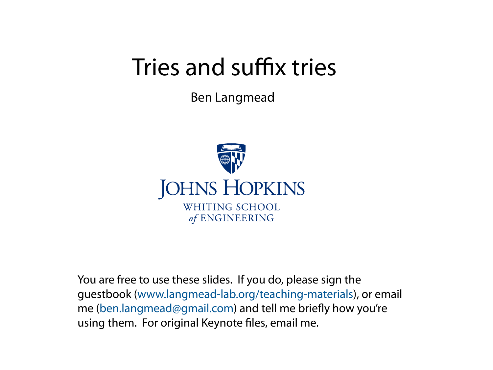# Tries and suffix tries

Ben Langmead



You are free to use these slides. If you do, please sign the guestbook [\(www.langmead-lab.org/teaching-materials\)](http://www.langmead-lab.org/teaching-materials/), or email me [\(ben.langmead@gmail.com\)](mailto:ben.langmead@gmail.com) and tell me briefly how you're using them. For original Keynote files, email me.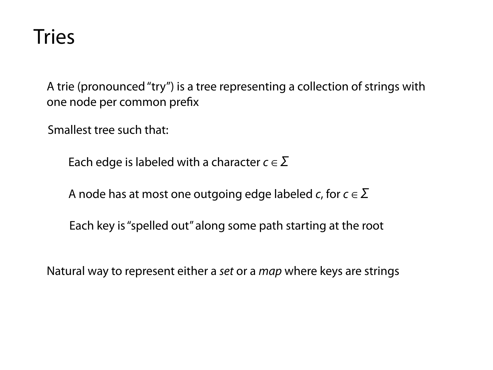#### Tries

A trie (pronounced "try") is a tree representing a collection of strings with one [node](http://xlinux.nist.gov/dads/HTML/node.html) per common [pre](http://xlinux.nist.gov/dads/HTML/prefix.html)fix

Smallest tree such that:

Each edge is labeled with a character  $c \in \Sigma$ 

A node has at most one outgoing edge labeled *c*, for  $c \in \Sigma$ 

Each key is "spelled out" along some path starting at the root

Natural way to represent either a *set* or a *map* where keys are strings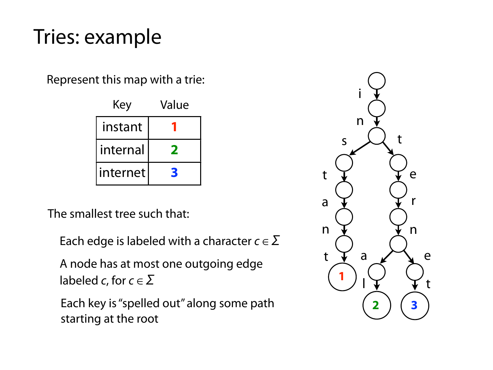#### Tries: example

Represent this map with a trie:

| Key      | Value        |
|----------|--------------|
| instant  |              |
| internal | $\mathbf{Z}$ |
| internet | B            |

The smallest tree such that:

Each edge is labeled with a character  $c \in \Sigma$ 

A node has at most one outgoing edge labeled *c*, for  $c \in \Sigma$ 

Each key is "spelled out" along some path starting at the root

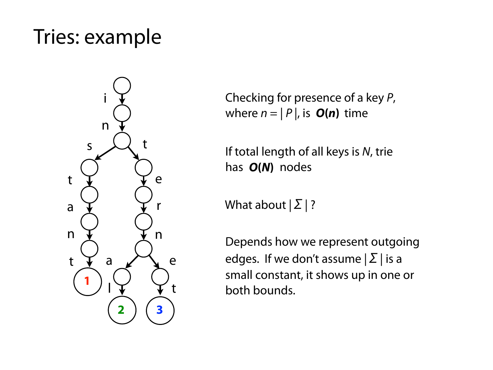#### Tries: example



Checking for presence of a key *P*, where  $n = |P|$ , is  $O(n)$  time

If total length of all keys is *N*, trie has ??? nodes *O***(***N***)**

What about  $|\Sigma|$ ?

Depends how we represent outgoing edges. If we don't assume  $|\Sigma|$  is a small constant, it shows up in one or both bounds.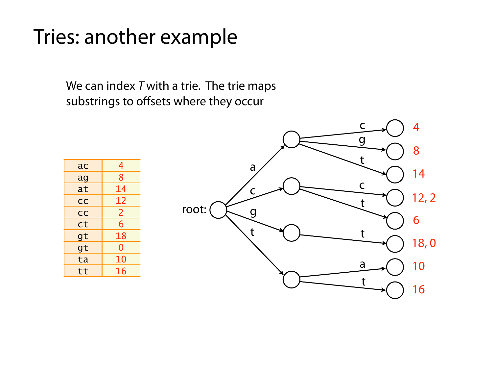#### Tries: another example

We can index *T* with a trie. The trie maps substrings to o ffsets where they occur

| ac        | 4              |
|-----------|----------------|
| ag        | $\overline{8}$ |
| at        | 14             |
| <b>CC</b> | 12             |
| <b>CC</b> | $\overline{2}$ |
| ct        | 6              |
| gt        | 18             |
| gt        | O              |
| ta        | 10             |
| tt        | 16             |

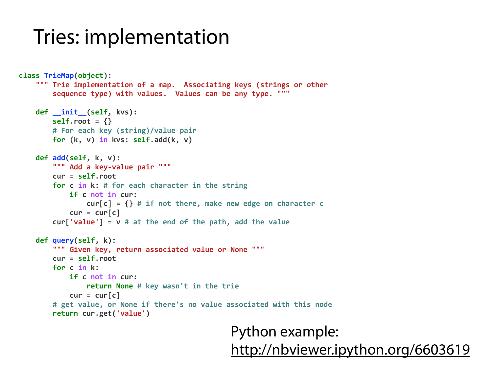#### Tries: implementation

```
class TrieMap(object):
    """ Trie implementation of a map. Associating keys (strings or other
        Sequence type) with values. Values can be any type. """
    def __init (self, kvs):
        selfroot = \{\}								#	For	each	key	(string)/value	pair
        for (k, v) in kvs: self.add(k, v)				def add(self,	k,	v):
        """ Add a key-value pair """
        								cur	= self.root
        for c in k: # for each character in the string
             if c not in cur:
                 cur[c] = \{\} # if not there, make new edge on character c
             cur = cur[c]\text{curl}'\text{value'} = \text{v} # at the end of the path, add the value
    				def query(self,	k):
        """ Given key, return associated value or None """
        								cur	= self.root
        for c in k:
             if c not in cur:
                 return None # key wasn't in the trie
             cur = cur[c]# get value, or None if there's no value associated with this node
        								return	cur.get('value')
```
#### Python example: <http://nbviewer.ipython.org/6603619>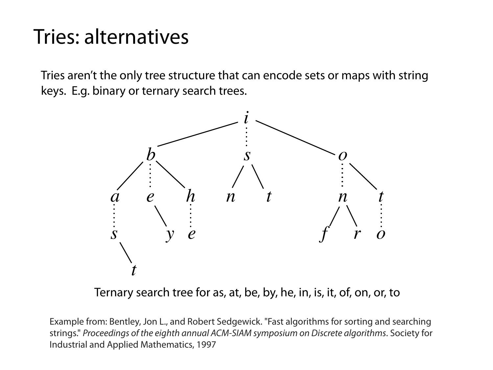#### Tries: alternatives

Tries aren't the only tree structure that can encode sets or maps with string keys. E.g. binary or ternary search trees.



Ternary search tree for as, at, be, by, he, in, is, it, of, on, or, to

Example from: Bentley, Jon L., and Robert Sedgewick. "Fast algorithms for sorting and searching strings." *Proceedings of the eighth annual ACM-SIAM symposium on Discrete algorithms*. Society for Industrial and Applied Mathematics, 1997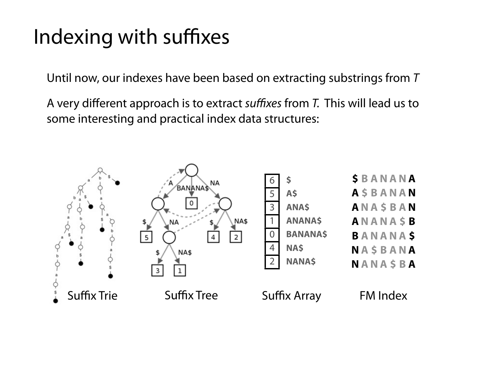#### Indexing with suffixes

Until now, our indexes have been based on extracting substrings from *T*

A very different approach is to extract *su*ffi*xes* from *T.* This will lead us to some interesting and practical index data structures:

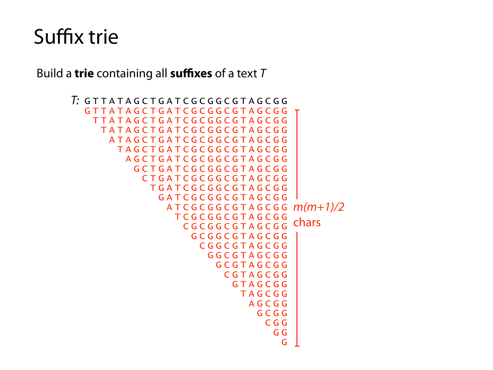Build a **trie** containing all **suffixes** of a text *T*

```
GTTATAGCTGATCGCGGCGTAGCGG$
T:
  GTTATAGCTGATCGCGGCGTAGCGG
     TTATAGCTGATCGCGGCGTAGCGG$
      TATAGCTGATCGCGGCGTAGCGG
        ATAGCTGATCGCGGCGTAGCGG
          TAGCTGATCGCGGCGTAGCGG
            AGCTGATCGCGGCGTAGCGG
              GCTGATCGCGGCGTAGCGG
                CTGATCGCGGCGTAGCGG
                 TGATCGCGGCGTAGCGG
                   GATCGCGGCGTAGCGG
    ATCGCGGCGTAGCGG$
m(m+1)/2
                       TCGCGGCGTAGCGG
                         CGCGGCGTAGCGG
                           GCGGCGTAGCGG
                             CGGCGTAGCGG
                               GGCGTAGCGG
                                 GCGTAGCGG
                                   CGTAGCGG
                                     GTAGCGG
                                      TAGCGG
                                        AGCGG
                                          GCGG
    CGG$
   GG GG CONTROLLER CONTROLLER CONTROLLER CONTROLLER CONTROLLER CONTROLLER CONTROLLER CONTROLLER CONTROLLER CONTROLLER CONTROLLER CONTROLLER CONTROLLER CONTROLLER CONTROLLER CONTROLLER CONTROLLER CONTROLLER CONTROLLER CONTROL
   G_{\mathbb{Z}} , the contract of the contract of the contract of the contract of the contract of the contract of the contract of the contract of the contract of the contract of the contract of the contract of the contract of 
                                                   chars
```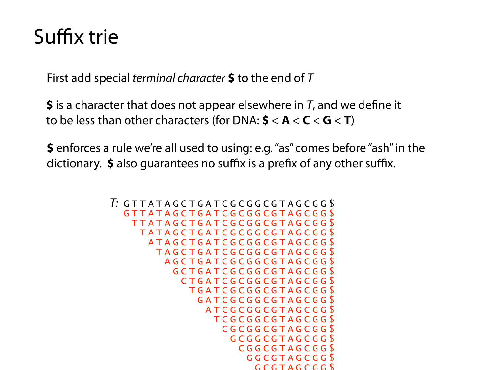First add special *terminal character* **\$** to the end of *T*

**\$** is a character that does not appear elsewhere in  $T$ , and we define it to be less than other characters (for DNA:  $\leq$  <  $\leq$  A <  $\leq$   $\leq$   $\leq$  T)

**\$** enforces a rule we're all used to using: e.g. "as" comes before "ash" in the dictionary. **\$** also guarantees no suffix is a prefix of any other suffix.

```
GTTATAGCTGATCGCGGCGTAGCGG$
T:GTTATAGCTGATCGCGGCGTAGCGG$
   TTATAGCTGATCGCGGCGTAGCGG$
   TATAGCTGATCGCGGCGTAGCGGS
    ATAGCTGATCGCGGCGTAGCGG
      TAGCTGATCGCGGCGTAGCGG
       AGCTGATCGCGGCGTAGCGGS
        GCTGATCGCGGCGTAGCGG$
         CTGATCGCGGCGTAGCGGS
           TGATCGCGGCGTAGCGG$
           GATCGCGGCGTAGCGGS
             ATCGCGGCGTAGCGG$
              TCGCGGCGTAGCGG$
              CGCGGCGTAGCGGS
               GCGGCGTAGCGGS
                 CGGCGTAGCGG$
                 GGCGTAGCGG$
                  GCGTAGCGGS
```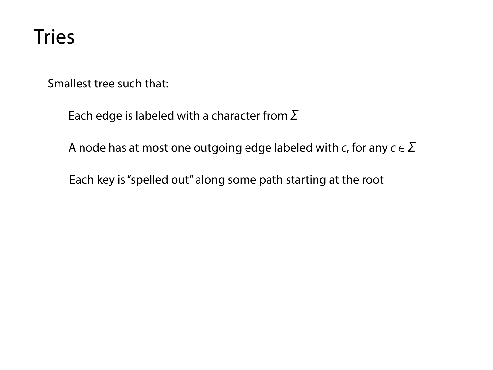#### Tries

Smallest tree such that:

Each edge is labeled with a character from  $\Sigma$ 

A node has at most one outgoing edge labeled with *c*, for any  $c \in \Sigma$ 

Each key is "spelled out" along some path starting at the root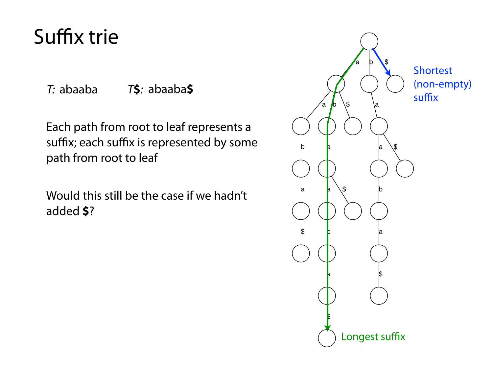*T:* abaaba *T***\$***:* abaaba**\$**

Each path from root to leaf represents a suffix; each suffix is represented by some path from root to leaf

Would this still be the case if we hadn't added **\$**?

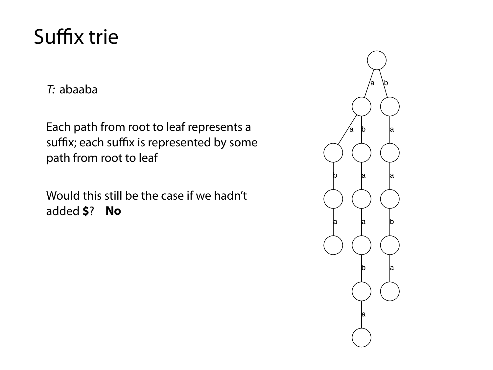*T:* abaaba

Each path from root to leaf represents a suffix; each suffix is represented by some path from root to leaf

Would this still be the case if we hadn't added **\$**? **No**

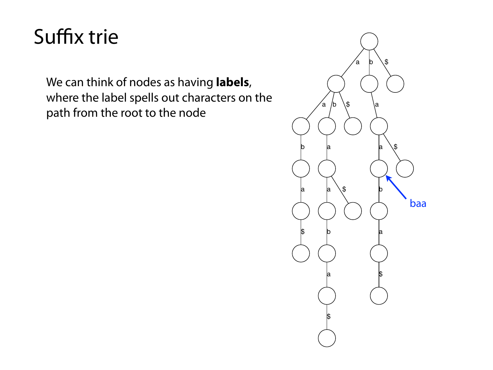We can think of nodes as having **labels**, where the label spells out characters on the path from the root to the node

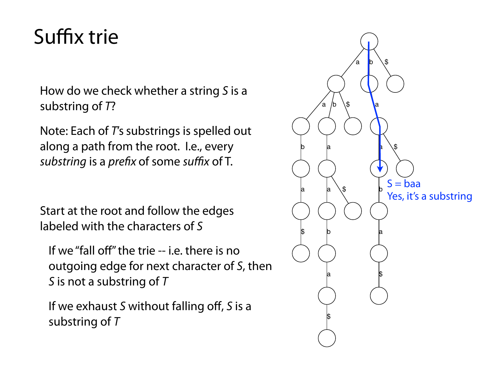How do we check whether a string *S* is a substring of *T*?

Note: Each of *T's* substrings is spelled out along a path from the root. I.e., every *substring* is a *prefix* of some *suffix* of T.

Start at the root and follow the edges labeled with the characters of *S*

If we "fall off" the trie -- i.e. there is no outgoing edge for next character of *S*, then *S* is not a substring of *T*

If we exhaust *S* without falling off, *S* is a substring of *T*

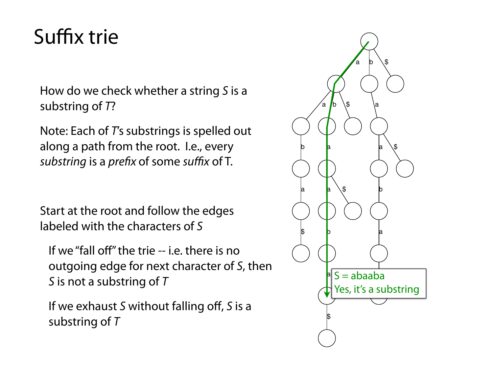How do we check whether a string *S* is a substring of *T*?

Note: Each of *T's* substrings is spelled out along a path from the root. I.e., every *substring* is a *prefix* of some *suffix* of T.

Start at the root and follow the edges labeled with the characters of *S*

If we "fall off" the trie -- i.e. there is no outgoing edge for next character of *S*, then *S* is not a substring of *T*

If we exhaust *S* without falling off, *S* is a substring of *T*

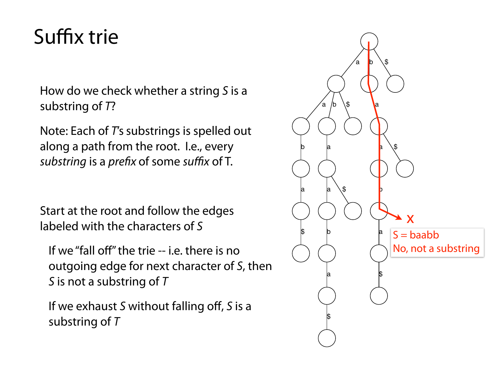How do we check whether a string *S* is a substring of *T*?

Note: Each of *T's* substrings is spelled out along a path from the root. I.e., every *substring* is a *prefix* of some *suffix* of T.

Start at the root and follow the edges labeled with the characters of *S*

If we "fall off" the trie -- i.e. there is no outgoing edge for next character of *S*, then *S* is not a substring of *T*

If we exhaust *S* without falling off, *S* is a substring of *T*

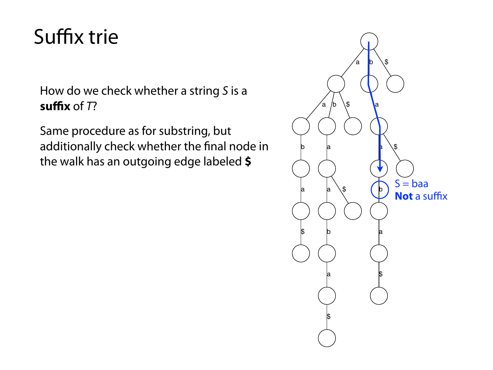How do we check whether a string *S* is a **suffix** of *T*?

Same procedure as for substring, but additionally check whether the final node in the walk has an outgoing edge labeled **\$**

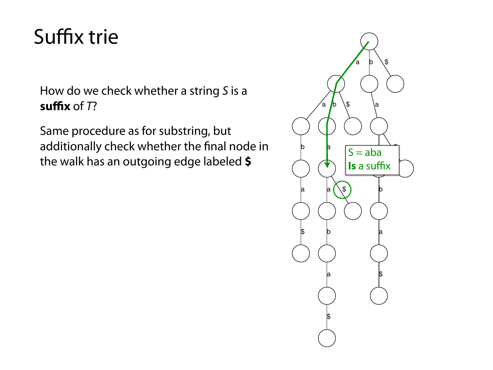How do we check whether a string *S* is a **suffix** of *T*?

Same procedure as for substring, but additionally check whether the final node in the walk has an outgoing edge labeled **\$**

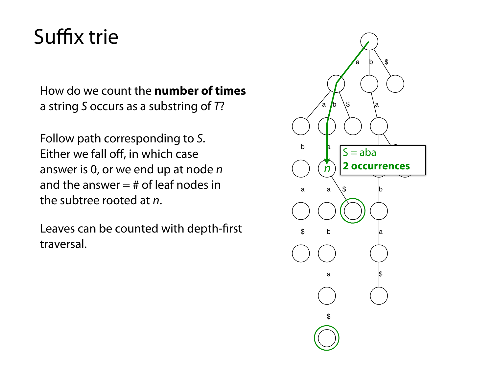How do we count the **number of times** a string *S* occurs as a substring of *T*?

Follow path corresponding to *S*. Either we fall off, in which case answer is 0, or we end up at node *n* and the answer  $=$  # of leaf nodes in the subtree rooted at *n*.

Leaves can be counted with depth-first traversal.

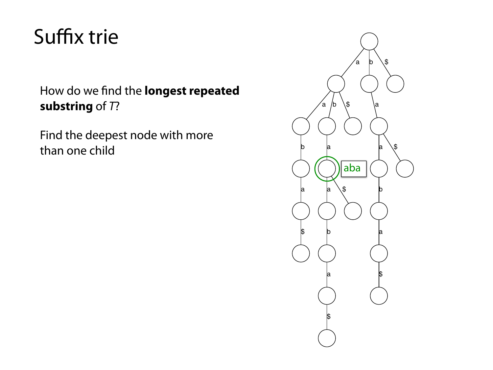#### How do we find the **longest repeated substring** of *T*?

Find the deepest node with more than one child

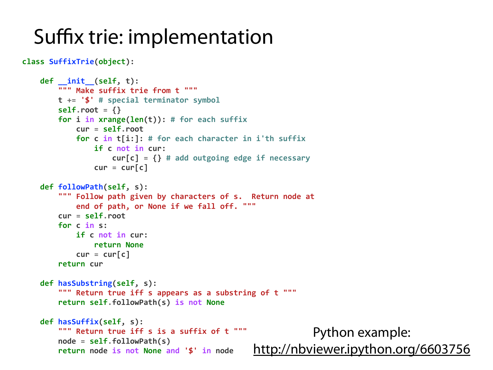#### Suffix trie: implementation

```
class SuffixTrie(object):
```

```
				def __init__(self,	t):
    """ Make suffix trie from t """
    								t	+= '$' #	special	terminator	symbol
    selfroot = \{\}for i in xrange(len(t)): # for each suffix
        												cur	= self.root
        for c in t[i:]: # for each character in i'th suffix
            if c not in cur:
                 cur[c] = \{\} # add outgoing edge if necessary
            cur = curl				def followPath(self,	s):
    """ Follow path given by characters of s. Return node at
        end of path, or None if we fall off. """
    								cur	= self.root
    for c in s:
        if c not in cur:
            return None
        cur = cur[c]return cur
				def hasSubstring(self,	s):
    """ Return true iff s appears as a substring of t """
    								return self.followPath(s)	is not None
				def hasSuffix(self,	s):
    """ Return true iff s is a suffix of t """
    								node	= self.followPath(s)
    								return	node	is not None and '$' in	node
                                                                 Python example: 
                                                   http://nbviewer.ipython.org/6603756
```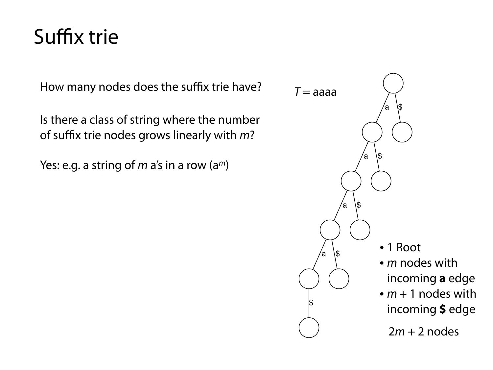How many nodes does the suffix trie have?

Is there a class of string where the number of suffix trie nodes grows linearly with *m*?

Yes: e.g. a string of *m* a's in a row (a*m*)

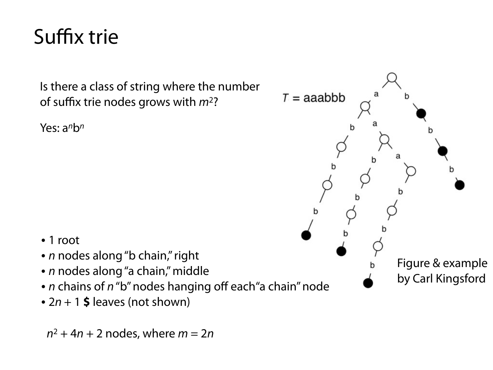Is there a class of string where the number of suffix trie nodes grows with *m*2?

Yes: a*n*b*<sup>n</sup>*



- 1 root
- *n* nodes along "b chain," right
- *n* nodes along "a chain," middle
- *• n* chains of *n* "b" nodes hanging off each"a chain" node
- *•* 2*n* + 1 **\$** leaves (not shown)

 $n^2 + 4n + 2$  nodes, where  $m = 2n$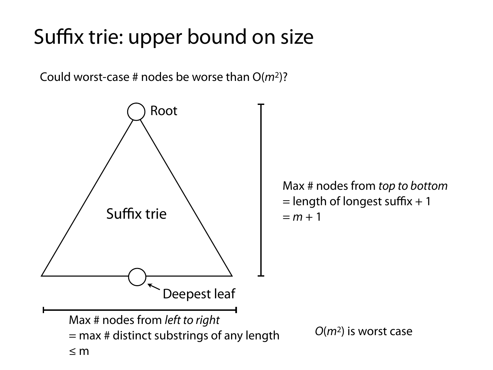# Suffix trie: upper bound on size

Could worst-case # nodes be worse than O(*m*2)?



Max # nodes from *top to bottom*  $=$  length of longest suffix  $+1$  $= m + 1$ 

*O*(*m*2) is worst case